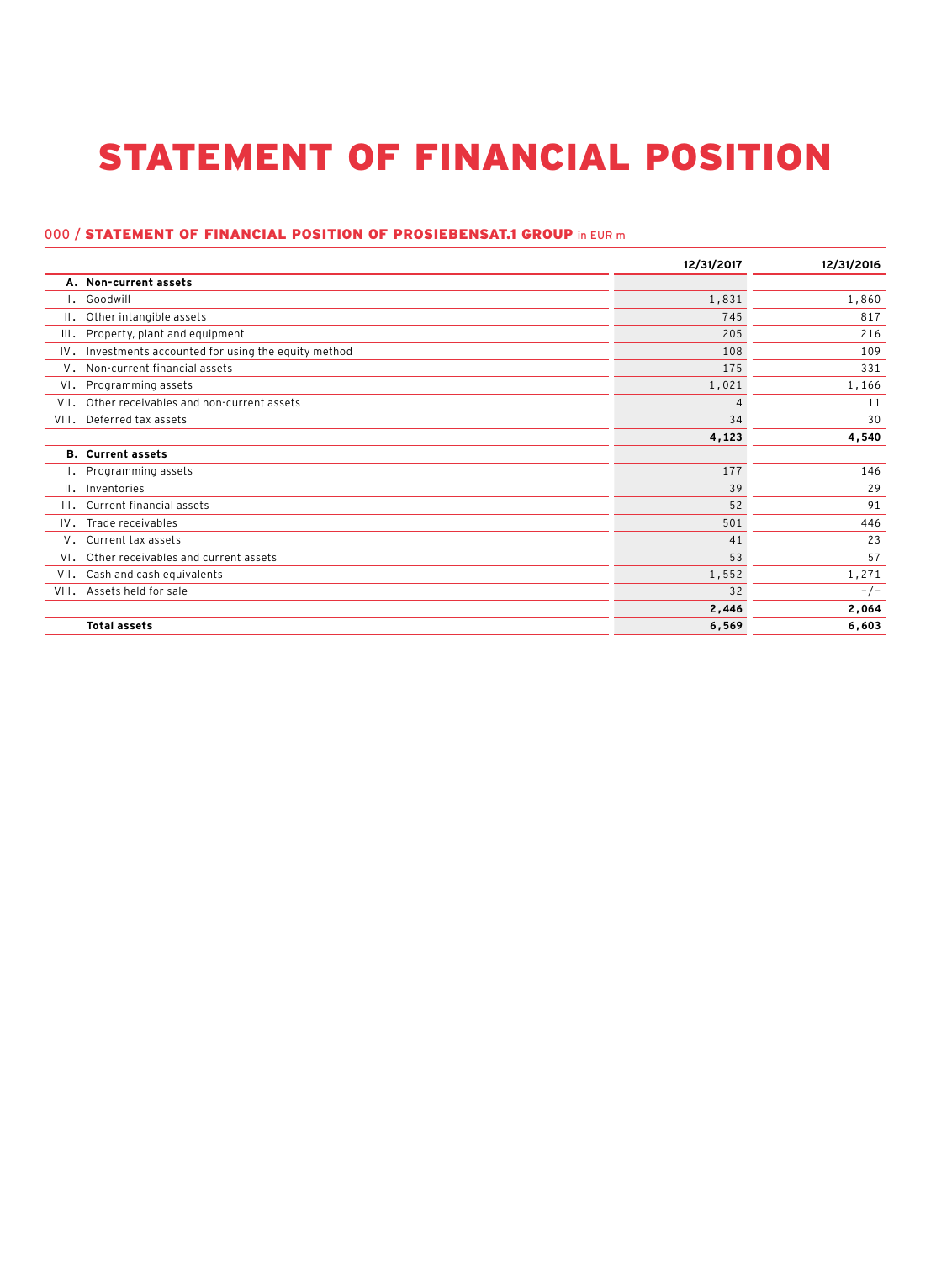## STATEMENT OF FINANCIAL POSITION

## 000 / STATEMENT OF FINANCIAL POSITION OF PROSIEBENSAT.1 GROUP in EUR m

|                 |                                                   | 12/31/2017     | 12/31/2016 |
|-----------------|---------------------------------------------------|----------------|------------|
|                 | A. Non-current assets                             |                |            |
| ۱.              | Goodwill                                          | 1,831          | 1,860      |
| $\mathbf{II}$ . | Other intangible assets                           | 745            | 817        |
| III.            | Property, plant and equipment                     | 205            | 216        |
| IV.             | Investments accounted for using the equity method | 108            | 109        |
| V.              | Non-current financial assets                      | 175            | 331        |
| VI.             | Programming assets                                | 1,021          | 1,166      |
| VII.            | Other receivables and non-current assets          | $\overline{4}$ | 11         |
| VIII.           | Deferred tax assets                               | 34             | 30         |
|                 |                                                   | 4,123          | 4,540      |
|                 | <b>B.</b> Current assets                          |                |            |
| ۱.              | Programming assets                                | 177            | 146        |
| $\mathbf{II}$ . | Inventories                                       | 39             | 29         |
| III.            | Current financial assets                          | 52             | 91         |
|                 | IV. Trade receivables                             | 501            | 446        |
|                 | V. Current tax assets                             | 41             | 23         |
| VI.             | Other receivables and current assets              | 53             | 57         |
| VII.            | Cash and cash equivalents                         | 1,552          | 1,271      |
| VIII.           | Assets held for sale                              | 32             | $-/-$      |
|                 |                                                   | 2,446          | 2,064      |
|                 | <b>Total assets</b>                               | 6,569          | 6,603      |